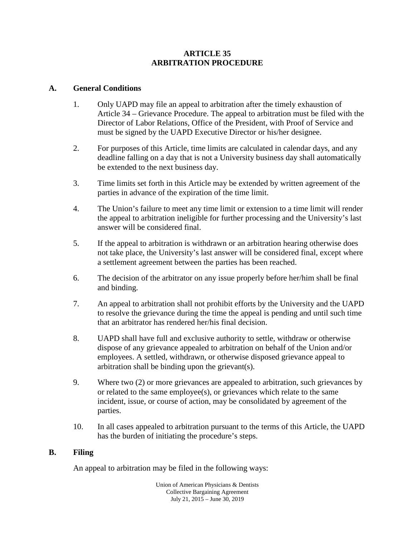#### **ARTICLE 35 ARBITRATION PROCEDURE**

#### **A. General Conditions**

- 1. Only UAPD may file an appeal to arbitration after the timely exhaustion of Article 34 – Grievance Procedure. The appeal to arbitration must be filed with the Director of Labor Relations, Office of the President, with Proof of Service and must be signed by the UAPD Executive Director or his/her designee.
- 2. For purposes of this Article, time limits are calculated in calendar days, and any deadline falling on a day that is not a University business day shall automatically be extended to the next business day.
- 3. Time limits set forth in this Article may be extended by written agreement of the parties in advance of the expiration of the time limit.
- 4. The Union's failure to meet any time limit or extension to a time limit will render the appeal to arbitration ineligible for further processing and the University's last answer will be considered final.
- 5. If the appeal to arbitration is withdrawn or an arbitration hearing otherwise does not take place, the University's last answer will be considered final, except where a settlement agreement between the parties has been reached.
- 6. The decision of the arbitrator on any issue properly before her/him shall be final and binding.
- 7. An appeal to arbitration shall not prohibit efforts by the University and the UAPD to resolve the grievance during the time the appeal is pending and until such time that an arbitrator has rendered her/his final decision.
- 8. UAPD shall have full and exclusive authority to settle, withdraw or otherwise dispose of any grievance appealed to arbitration on behalf of the Union and/or employees. A settled, withdrawn, or otherwise disposed grievance appeal to arbitration shall be binding upon the grievant(s).
- 9. Where two (2) or more grievances are appealed to arbitration, such grievances by or related to the same employee(s), or grievances which relate to the same incident, issue, or course of action, may be consolidated by agreement of the parties.
- 10. In all cases appealed to arbitration pursuant to the terms of this Article, the UAPD has the burden of initiating the procedure's steps.

#### **B. Filing**

An appeal to arbitration may be filed in the following ways: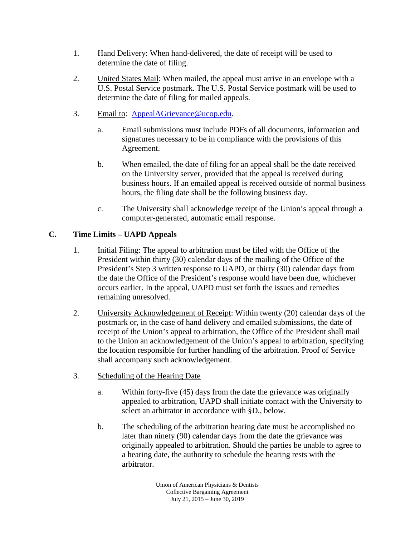- 1. Hand Delivery: When hand-delivered, the date of receipt will be used to determine the date of filing.
- 2. United States Mail: When mailed, the appeal must arrive in an envelope with a U.S. Postal Service postmark. The U.S. Postal Service postmark will be used to determine the date of filing for mailed appeals.
- 3. Email to: [AppealAGrievance@ucop.edu.](mailto:AppealAGrievance@ucop.edu)
	- a. Email submissions must include PDFs of all documents, information and signatures necessary to be in compliance with the provisions of this Agreement.
	- b. When emailed, the date of filing for an appeal shall be the date received on the University server, provided that the appeal is received during business hours. If an emailed appeal is received outside of normal business hours, the filing date shall be the following business day.
	- c. The University shall acknowledge receipt of the Union's appeal through a computer-generated, automatic email response.

# **C. Time Limits – UAPD Appeals**

- 1. Initial Filing: The appeal to arbitration must be filed with the Office of the President within thirty (30) calendar days of the mailing of the Office of the President's Step 3 written response to UAPD, or thirty (30) calendar days from the date the Office of the President's response would have been due, whichever occurs earlier. In the appeal, UAPD must set forth the issues and remedies remaining unresolved.
- 2. University Acknowledgement of Receipt: Within twenty (20) calendar days of the postmark or, in the case of hand delivery and emailed submissions, the date of receipt of the Union's appeal to arbitration, the Office of the President shall mail to the Union an acknowledgement of the Union's appeal to arbitration, specifying the location responsible for further handling of the arbitration. Proof of Service shall accompany such acknowledgement.
- 3. Scheduling of the Hearing Date
	- a. Within forty-five (45) days from the date the grievance was originally appealed to arbitration, UAPD shall initiate contact with the University to select an arbitrator in accordance with §D., below.
	- b. The scheduling of the arbitration hearing date must be accomplished no later than ninety (90) calendar days from the date the grievance was originally appealed to arbitration. Should the parties be unable to agree to a hearing date, the authority to schedule the hearing rests with the arbitrator.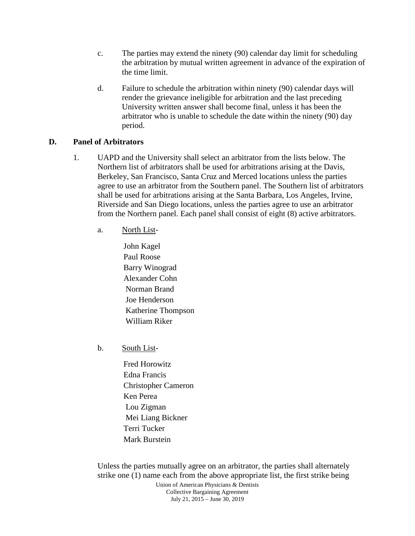- c. The parties may extend the ninety (90) calendar day limit for scheduling the arbitration by mutual written agreement in advance of the expiration of the time limit.
- d. Failure to schedule the arbitration within ninety (90) calendar days will render the grievance ineligible for arbitration and the last preceding University written answer shall become final, unless it has been the arbitrator who is unable to schedule the date within the ninety (90) day period.

#### **D. Panel of Arbitrators**

- 1. UAPD and the University shall select an arbitrator from the lists below. The Northern list of arbitrators shall be used for arbitrations arising at the Davis, Berkeley, San Francisco, Santa Cruz and Merced locations unless the parties agree to use an arbitrator from the Southern panel. The Southern list of arbitrators shall be used for arbitrations arising at the Santa Barbara, Los Angeles, Irvine, Riverside and San Diego locations, unless the parties agree to use an arbitrator from the Northern panel. Each panel shall consist of eight (8) active arbitrators.
	- a. North List-
		- John Kagel Paul Roose Barry Winograd Alexander Cohn Norman Brand Joe Henderson Katherine Thompson William Riker
	- b. South List-
		- Fred Horowitz Edna Francis Christopher Cameron Ken Perea Lou Zigman Mei Liang Bickner Terri Tucker Mark Burstein

Unless the parties mutually agree on an arbitrator, the parties shall alternately strike one (1) name each from the above appropriate list, the first strike being

> Union of American Physicians & Dentists Collective Bargaining Agreement July 21, 2015 – June 30, 2019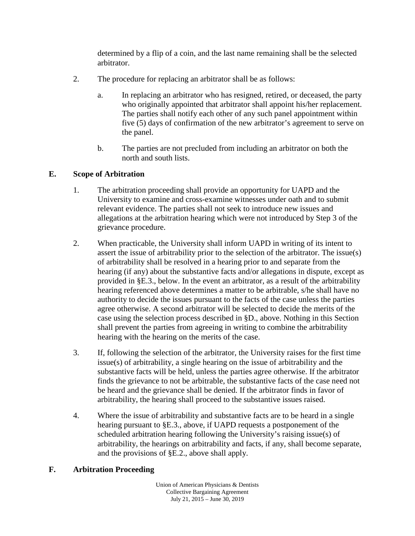determined by a flip of a coin, and the last name remaining shall be the selected arbitrator.

- 2. The procedure for replacing an arbitrator shall be as follows:
	- a. In replacing an arbitrator who has resigned, retired, or deceased, the party who originally appointed that arbitrator shall appoint his/her replacement. The parties shall notify each other of any such panel appointment within five (5) days of confirmation of the new arbitrator's agreement to serve on the panel.
	- b. The parties are not precluded from including an arbitrator on both the north and south lists.

### **E. Scope of Arbitration**

- 1. The arbitration proceeding shall provide an opportunity for UAPD and the University to examine and cross-examine witnesses under oath and to submit relevant evidence. The parties shall not seek to introduce new issues and allegations at the arbitration hearing which were not introduced by Step 3 of the grievance procedure.
- 2. When practicable, the University shall inform UAPD in writing of its intent to assert the issue of arbitrability prior to the selection of the arbitrator. The issue(s) of arbitrability shall be resolved in a hearing prior to and separate from the hearing (if any) about the substantive facts and/or allegations in dispute, except as provided in §E.3., below. In the event an arbitrator, as a result of the arbitrability hearing referenced above determines a matter to be arbitrable, s/he shall have no authority to decide the issues pursuant to the facts of the case unless the parties agree otherwise. A second arbitrator will be selected to decide the merits of the case using the selection process described in §D., above. Nothing in this Section shall prevent the parties from agreeing in writing to combine the arbitrability hearing with the hearing on the merits of the case.
- 3. If, following the selection of the arbitrator, the University raises for the first time issue(s) of arbitrability, a single hearing on the issue of arbitrability and the substantive facts will be held, unless the parties agree otherwise. If the arbitrator finds the grievance to not be arbitrable, the substantive facts of the case need not be heard and the grievance shall be denied. If the arbitrator finds in favor of arbitrability, the hearing shall proceed to the substantive issues raised.
- 4. Where the issue of arbitrability and substantive facts are to be heard in a single hearing pursuant to §E.3., above, if UAPD requests a postponement of the scheduled arbitration hearing following the University's raising issue(s) of arbitrability, the hearings on arbitrability and facts, if any, shall become separate, and the provisions of §E.2., above shall apply.

#### **F. Arbitration Proceeding**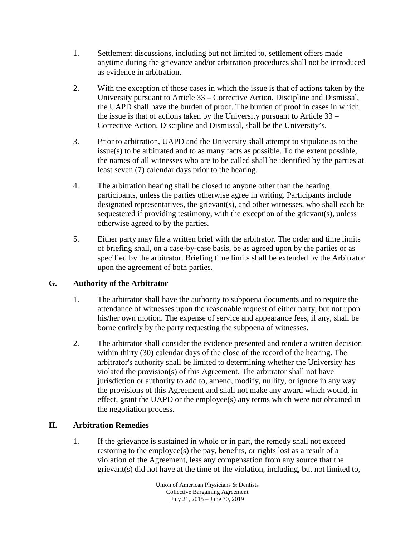- 1. Settlement discussions, including but not limited to, settlement offers made anytime during the grievance and/or arbitration procedures shall not be introduced as evidence in arbitration.
- 2. With the exception of those cases in which the issue is that of actions taken by the University pursuant to Article 33 – Corrective Action, Discipline and Dismissal, the UAPD shall have the burden of proof. The burden of proof in cases in which the issue is that of actions taken by the University pursuant to Article 33 – Corrective Action, Discipline and Dismissal, shall be the University's.
- 3. Prior to arbitration, UAPD and the University shall attempt to stipulate as to the issue(s) to be arbitrated and to as many facts as possible. To the extent possible, the names of all witnesses who are to be called shall be identified by the parties at least seven (7) calendar days prior to the hearing.
- 4. The arbitration hearing shall be closed to anyone other than the hearing participants, unless the parties otherwise agree in writing. Participants include designated representatives, the grievant(s), and other witnesses, who shall each be sequestered if providing testimony, with the exception of the grievant(s), unless otherwise agreed to by the parties.
- 5. Either party may file a written brief with the arbitrator. The order and time limits of briefing shall, on a case-by-case basis, be as agreed upon by the parties or as specified by the arbitrator. Briefing time limits shall be extended by the Arbitrator upon the agreement of both parties.

## **G. Authority of the Arbitrator**

- 1. The arbitrator shall have the authority to subpoena documents and to require the attendance of witnesses upon the reasonable request of either party, but not upon his/her own motion. The expense of service and appearance fees, if any, shall be borne entirely by the party requesting the subpoena of witnesses.
- 2. The arbitrator shall consider the evidence presented and render a written decision within thirty (30) calendar days of the close of the record of the hearing. The arbitrator's authority shall be limited to determining whether the University has violated the provision(s) of this Agreement. The arbitrator shall not have jurisdiction or authority to add to, amend, modify, nullify, or ignore in any way the provisions of this Agreement and shall not make any award which would, in effect, grant the UAPD or the employee(s) any terms which were not obtained in the negotiation process.

## **H. Arbitration Remedies**

1. If the grievance is sustained in whole or in part, the remedy shall not exceed restoring to the employee(s) the pay, benefits, or rights lost as a result of a violation of the Agreement, less any compensation from any source that the grievant(s) did not have at the time of the violation, including, but not limited to,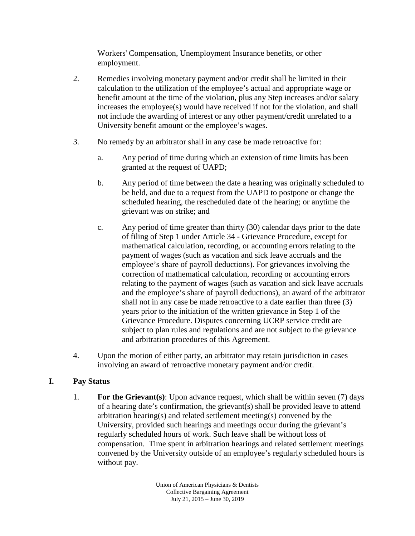Workers' Compensation, Unemployment Insurance benefits, or other employment.

- 2. Remedies involving monetary payment and/or credit shall be limited in their calculation to the utilization of the employee's actual and appropriate wage or benefit amount at the time of the violation, plus any Step increases and/or salary increases the employee(s) would have received if not for the violation, and shall not include the awarding of interest or any other payment/credit unrelated to a University benefit amount or the employee's wages.
- 3. No remedy by an arbitrator shall in any case be made retroactive for:
	- a. Any period of time during which an extension of time limits has been granted at the request of UAPD;
	- b. Any period of time between the date a hearing was originally scheduled to be held, and due to a request from the UAPD to postpone or change the scheduled hearing, the rescheduled date of the hearing; or anytime the grievant was on strike; and
	- c. Any period of time greater than thirty (30) calendar days prior to the date of filing of Step 1 under Article 34 - Grievance Procedure, except for mathematical calculation, recording, or accounting errors relating to the payment of wages (such as vacation and sick leave accruals and the employee's share of payroll deductions). For grievances involving the correction of mathematical calculation, recording or accounting errors relating to the payment of wages (such as vacation and sick leave accruals and the employee's share of payroll deductions), an award of the arbitrator shall not in any case be made retroactive to a date earlier than three (3) years prior to the initiation of the written grievance in Step 1 of the Grievance Procedure. Disputes concerning UCRP service credit are subject to plan rules and regulations and are not subject to the grievance and arbitration procedures of this Agreement.
- 4. Upon the motion of either party, an arbitrator may retain jurisdiction in cases involving an award of retroactive monetary payment and/or credit.

## **I. Pay Status**

1. **For the Grievant(s)**: Upon advance request, which shall be within seven (7) days of a hearing date's confirmation, the grievant(s) shall be provided leave to attend arbitration hearing(s) and related settlement meeting(s) convened by the University, provided such hearings and meetings occur during the grievant's regularly scheduled hours of work. Such leave shall be without loss of compensation. Time spent in arbitration hearings and related settlement meetings convened by the University outside of an employee's regularly scheduled hours is without pay.